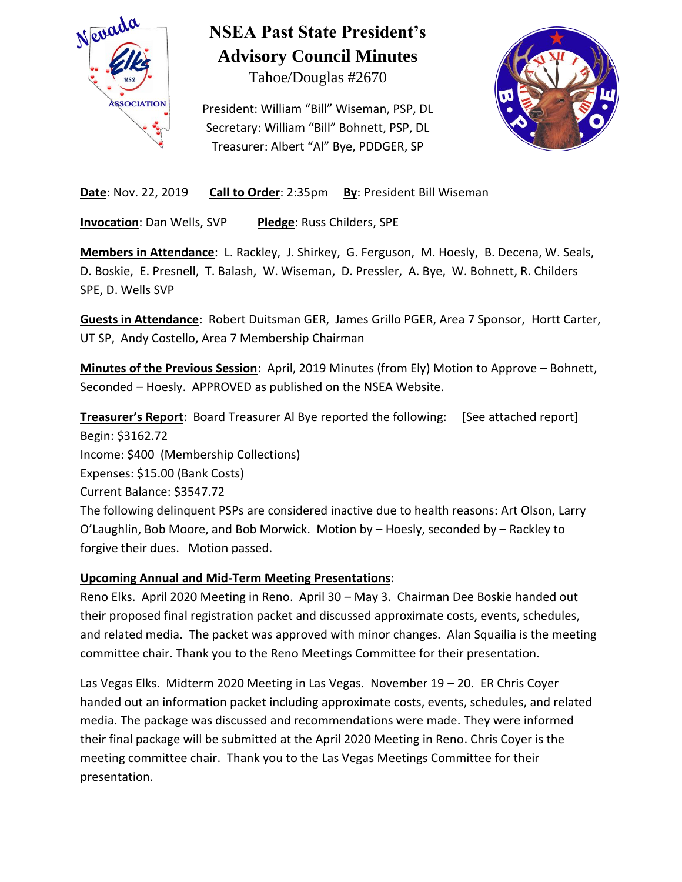

# **NSEA Past State President's Advisory Council Minutes**

Tahoe/Douglas #2670

President: William "Bill" Wiseman, PSP, DL Secretary: William "Bill" Bohnett, PSP, DL Treasurer: Albert "Al" Bye, PDDGER, SP



**Date:** Nov. 22, 2019 **Call to Order**: 2:35pm **By**: President Bill Wiseman

**Invocation**: Dan Wells, SVP **Pledge**: Russ Childers, SPE

**Members in Attendance**: L. Rackley, J. Shirkey, G. Ferguson, M. Hoesly, B. Decena, W. Seals, D. Boskie, E. Presnell, T. Balash, W. Wiseman, D. Pressler, A. Bye, W. Bohnett, R. Childers SPE, D. Wells SVP

**Guests in Attendance**: Robert Duitsman GER, James Grillo PGER, Area 7 Sponsor, Hortt Carter, UT SP, Andy Costello, Area 7 Membership Chairman

**Minutes of the Previous Session**: April, 2019 Minutes (from Ely) Motion to Approve – Bohnett, Seconded – Hoesly. APPROVED as published on the NSEA Website.

**Treasurer's Report**: Board Treasurer Al Bye reported the following: [See attached report] Begin: \$3162.72 Income: \$400 (Membership Collections) Expenses: \$15.00 (Bank Costs) Current Balance: \$3547.72 The following delinquent PSPs are considered inactive due to health reasons: Art Olson, Larry O'Laughlin, Bob Moore, and Bob Morwick. Motion by – Hoesly, seconded by – Rackley to forgive their dues. Motion passed.

## **Upcoming Annual and Mid-Term Meeting Presentations**:

Reno Elks. April 2020 Meeting in Reno. April 30 – May 3. Chairman Dee Boskie handed out their proposed final registration packet and discussed approximate costs, events, schedules, and related media. The packet was approved with minor changes. Alan Squailia is the meeting committee chair. Thank you to the Reno Meetings Committee for their presentation.

Las Vegas Elks. Midterm 2020 Meeting in Las Vegas. November 19 – 20. ER Chris Coyer handed out an information packet including approximate costs, events, schedules, and related media. The package was discussed and recommendations were made. They were informed their final package will be submitted at the April 2020 Meeting in Reno. Chris Coyer is the meeting committee chair. Thank you to the Las Vegas Meetings Committee for their presentation.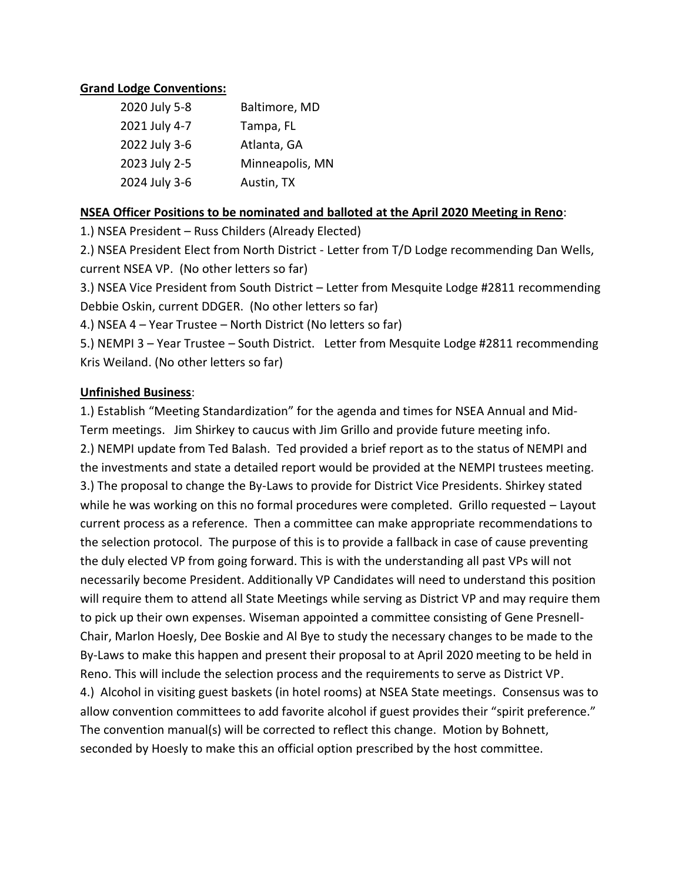#### **Grand Lodge Conventions:**

| 2020 July 5-8 | Baltimore, MD   |
|---------------|-----------------|
| 2021 July 4-7 | Tampa, FL       |
| 2022 July 3-6 | Atlanta, GA     |
| 2023 July 2-5 | Minneapolis, MN |
| 2024 July 3-6 | Austin, TX      |

#### **NSEA Officer Positions to be nominated and balloted at the April 2020 Meeting in Reno**:

1.) NSEA President – Russ Childers (Already Elected)

2.) NSEA President Elect from North District - Letter from T/D Lodge recommending Dan Wells, current NSEA VP. (No other letters so far)

3.) NSEA Vice President from South District – Letter from Mesquite Lodge #2811 recommending Debbie Oskin, current DDGER. (No other letters so far)

4.) NSEA 4 – Year Trustee – North District (No letters so far)

5.) NEMPI 3 – Year Trustee – South District. Letter from Mesquite Lodge #2811 recommending Kris Weiland. (No other letters so far)

#### **Unfinished Business**:

1.) Establish "Meeting Standardization" for the agenda and times for NSEA Annual and Mid-Term meetings. Jim Shirkey to caucus with Jim Grillo and provide future meeting info. 2.) NEMPI update from Ted Balash. Ted provided a brief report as to the status of NEMPI and the investments and state a detailed report would be provided at the NEMPI trustees meeting. 3.) The proposal to change the By-Laws to provide for District Vice Presidents. Shirkey stated while he was working on this no formal procedures were completed. Grillo requested – Layout current process as a reference. Then a committee can make appropriate recommendations to the selection protocol. The purpose of this is to provide a fallback in case of cause preventing the duly elected VP from going forward. This is with the understanding all past VPs will not necessarily become President. Additionally VP Candidates will need to understand this position will require them to attend all State Meetings while serving as District VP and may require them to pick up their own expenses. Wiseman appointed a committee consisting of Gene Presnell-Chair, Marlon Hoesly, Dee Boskie and Al Bye to study the necessary changes to be made to the By-Laws to make this happen and present their proposal to at April 2020 meeting to be held in Reno. This will include the selection process and the requirements to serve as District VP. 4.) Alcohol in visiting guest baskets (in hotel rooms) at NSEA State meetings. Consensus was to allow convention committees to add favorite alcohol if guest provides their "spirit preference." The convention manual(s) will be corrected to reflect this change. Motion by Bohnett, seconded by Hoesly to make this an official option prescribed by the host committee.